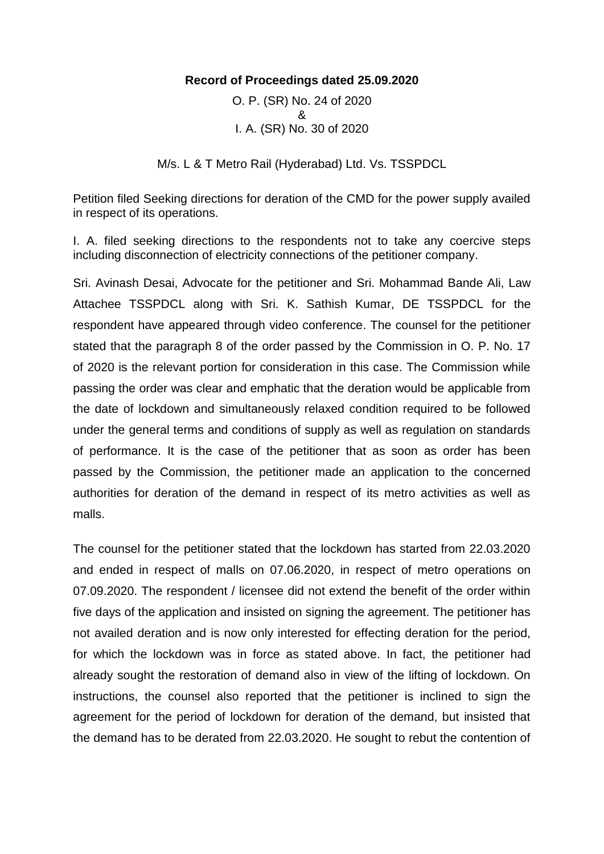## **Record of Proceedings dated 25.09.2020**

O. P. (SR) No. 24 of 2020 & I. A. (SR) No. 30 of 2020

M/s. L & T Metro Rail (Hyderabad) Ltd. Vs. TSSPDCL

Petition filed Seeking directions for deration of the CMD for the power supply availed in respect of its operations.

I. A. filed seeking directions to the respondents not to take any coercive steps including disconnection of electricity connections of the petitioner company.

Sri. Avinash Desai, Advocate for the petitioner and Sri. Mohammad Bande Ali, Law Attachee TSSPDCL along with Sri. K. Sathish Kumar, DE TSSPDCL for the respondent have appeared through video conference. The counsel for the petitioner stated that the paragraph 8 of the order passed by the Commission in O. P. No. 17 of 2020 is the relevant portion for consideration in this case. The Commission while passing the order was clear and emphatic that the deration would be applicable from the date of lockdown and simultaneously relaxed condition required to be followed under the general terms and conditions of supply as well as regulation on standards of performance. It is the case of the petitioner that as soon as order has been passed by the Commission, the petitioner made an application to the concerned authorities for deration of the demand in respect of its metro activities as well as malls.

The counsel for the petitioner stated that the lockdown has started from 22.03.2020 and ended in respect of malls on 07.06.2020, in respect of metro operations on 07.09.2020. The respondent / licensee did not extend the benefit of the order within five days of the application and insisted on signing the agreement. The petitioner has not availed deration and is now only interested for effecting deration for the period, for which the lockdown was in force as stated above. In fact, the petitioner had already sought the restoration of demand also in view of the lifting of lockdown. On instructions, the counsel also reported that the petitioner is inclined to sign the agreement for the period of lockdown for deration of the demand, but insisted that the demand has to be derated from 22.03.2020. He sought to rebut the contention of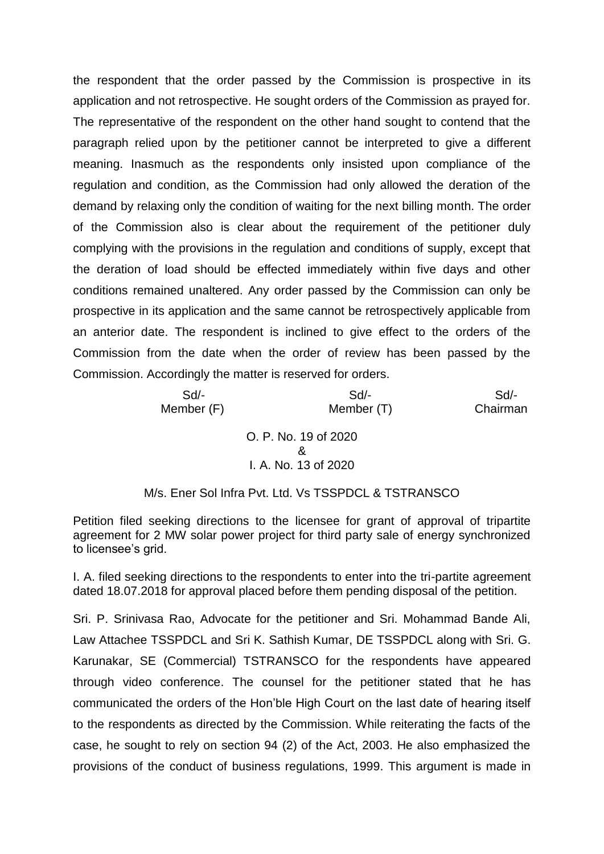the respondent that the order passed by the Commission is prospective in its application and not retrospective. He sought orders of the Commission as prayed for. The representative of the respondent on the other hand sought to contend that the paragraph relied upon by the petitioner cannot be interpreted to give a different meaning. Inasmuch as the respondents only insisted upon compliance of the regulation and condition, as the Commission had only allowed the deration of the demand by relaxing only the condition of waiting for the next billing month. The order of the Commission also is clear about the requirement of the petitioner duly complying with the provisions in the regulation and conditions of supply, except that the deration of load should be effected immediately within five days and other conditions remained unaltered. Any order passed by the Commission can only be prospective in its application and the same cannot be retrospectively applicable from an anterior date. The respondent is inclined to give effect to the orders of the Commission from the date when the order of review has been passed by the Commission. Accordingly the matter is reserved for orders.

> Sd/- Sd/- Sd/- Member (F) Member (T) Chairman O. P. No. 19 of 2020 & I. A. No. 13 of 2020

## M/s. Ener Sol Infra Pvt. Ltd. Vs TSSPDCL & TSTRANSCO

Petition filed seeking directions to the licensee for grant of approval of tripartite agreement for 2 MW solar power project for third party sale of energy synchronized to licensee's grid.

I. A. filed seeking directions to the respondents to enter into the tri-partite agreement dated 18.07.2018 for approval placed before them pending disposal of the petition.

Sri. P. Srinivasa Rao, Advocate for the petitioner and Sri. Mohammad Bande Ali, Law Attachee TSSPDCL and Sri K. Sathish Kumar, DE TSSPDCL along with Sri. G. Karunakar, SE (Commercial) TSTRANSCO for the respondents have appeared through video conference. The counsel for the petitioner stated that he has communicated the orders of the Hon'ble High Court on the last date of hearing itself to the respondents as directed by the Commission. While reiterating the facts of the case, he sought to rely on section 94 (2) of the Act, 2003. He also emphasized the provisions of the conduct of business regulations, 1999. This argument is made in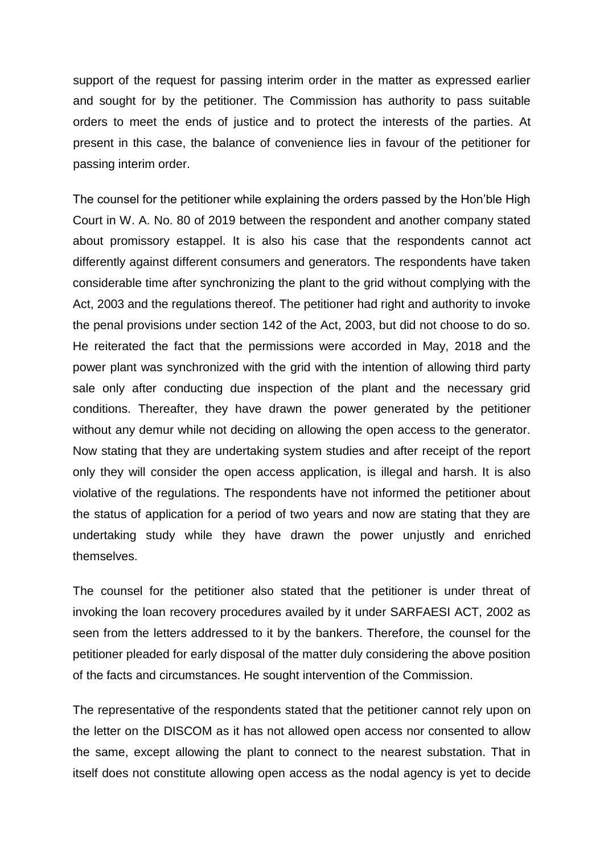support of the request for passing interim order in the matter as expressed earlier and sought for by the petitioner. The Commission has authority to pass suitable orders to meet the ends of justice and to protect the interests of the parties. At present in this case, the balance of convenience lies in favour of the petitioner for passing interim order.

The counsel for the petitioner while explaining the orders passed by the Hon'ble High Court in W. A. No. 80 of 2019 between the respondent and another company stated about promissory estappel. It is also his case that the respondents cannot act differently against different consumers and generators. The respondents have taken considerable time after synchronizing the plant to the grid without complying with the Act, 2003 and the regulations thereof. The petitioner had right and authority to invoke the penal provisions under section 142 of the Act, 2003, but did not choose to do so. He reiterated the fact that the permissions were accorded in May, 2018 and the power plant was synchronized with the grid with the intention of allowing third party sale only after conducting due inspection of the plant and the necessary grid conditions. Thereafter, they have drawn the power generated by the petitioner without any demur while not deciding on allowing the open access to the generator. Now stating that they are undertaking system studies and after receipt of the report only they will consider the open access application, is illegal and harsh. It is also violative of the regulations. The respondents have not informed the petitioner about the status of application for a period of two years and now are stating that they are undertaking study while they have drawn the power unjustly and enriched themselves.

The counsel for the petitioner also stated that the petitioner is under threat of invoking the loan recovery procedures availed by it under SARFAESI ACT, 2002 as seen from the letters addressed to it by the bankers. Therefore, the counsel for the petitioner pleaded for early disposal of the matter duly considering the above position of the facts and circumstances. He sought intervention of the Commission.

The representative of the respondents stated that the petitioner cannot rely upon on the letter on the DISCOM as it has not allowed open access nor consented to allow the same, except allowing the plant to connect to the nearest substation. That in itself does not constitute allowing open access as the nodal agency is yet to decide